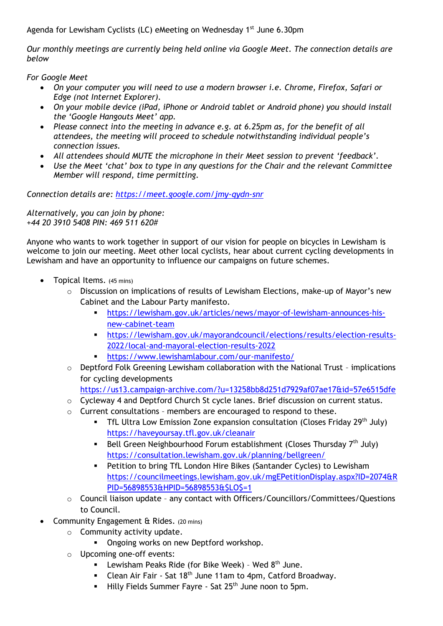Agenda for Lewisham Cyclists (LC) eMeeting on Wednesday 1<sup>st</sup> June 6.30pm

*Our monthly meetings are currently being held online via Google Meet. The connection details are below*

*For Google Meet* 

- *On your computer you will need to use a modern browser i.e. Chrome, Firefox, Safari or Edge (not Internet Explorer).*
- *On your mobile device (iPad, iPhone or Android tablet or Android phone) you should install the 'Google Hangouts Meet' app.*
- *Please connect into the meeting in advance e.g. at 6.25pm as, for the benefit of all attendees, the meeting will proceed to schedule notwithstanding individual people's connection issues.*
- All attendees should MUTE the microphone in their Meet session to prevent 'feedback'.
- *Use the Meet 'chat' box to type in any questions for the Chair and the relevant Committee Member will respond, time permitting.*

*Connection details are:<https://meet.google.com/jmy-qydn-snr>*

*Alternatively, you can join by phone: +44 20 3910 5408 PIN: 469 511 620#*

Anyone who wants to work together in support of our vision for people on bicycles in Lewisham is welcome to join our meeting. Meet other local cyclists, hear about current cycling developments in Lewisham and have an opportunity to influence our campaigns on future schemes.

- Topical Items. (45 mins)
	- $\circ$  Discussion on implications of results of Lewisham Elections, make-up of Mayor's new Cabinet and the Labour Party manifesto.
		- [https://lewisham.gov.uk/articles/news/mayor-of-lewisham-announces-his](https://lewisham.gov.uk/articles/news/mayor-of-lewisham-announces-his-new-cabinet-team)[new-cabinet-team](https://lewisham.gov.uk/articles/news/mayor-of-lewisham-announces-his-new-cabinet-team)
		- [https://lewisham.gov.uk/mayorandcouncil/elections/results/election-results-](https://lewisham.gov.uk/mayorandcouncil/elections/results/election-results-2022/local-and-mayoral-election-results-2022)[2022/local-and-mayoral-election-results-2022](https://lewisham.gov.uk/mayorandcouncil/elections/results/election-results-2022/local-and-mayoral-election-results-2022)
		- <https://www.lewishamlabour.com/our-manifesto/>
	- o Deptford Folk Greening Lewisham collaboration with the National Trust implications for cycling developments

<https://us13.campaign-archive.com/?u=13258bb8d251d7929af07ae17&id=57e6515dfe>

- o Cycleway 4 and Deptford Church St cycle lanes. Brief discussion on current status.
- $\circ$  Current consultations members are encouraged to respond to these.
	- **•** TfL Ultra Low Emission Zone expansion consultation (Closes Friday 29<sup>th</sup> July) <https://haveyoursay.tfl.gov.uk/cleanair>
	- Bell Green Neighbourhood Forum establishment (Closes Thursday  $7<sup>th</sup>$  July) <https://consultation.lewisham.gov.uk/planning/bellgreen/>
	- Petition to bring TfL London Hire Bikes (Santander Cycles) to Lewisham [https://councilmeetings.lewisham.gov.uk/mgEPetitionDisplay.aspx?ID=2074&R](https://councilmeetings.lewisham.gov.uk/mgEPetitionDisplay.aspx?ID=2074&RPID=56898553&HPID=56898553&$LO$=1) [PID=56898553&HPID=56898553&\\$LO\\$=1](https://councilmeetings.lewisham.gov.uk/mgEPetitionDisplay.aspx?ID=2074&RPID=56898553&HPID=56898553&$LO$=1)
- o Council liaison update any contact with Officers/Councillors/Committees/Questions to Council.
- Community Engagement & Rides. (20 mins)
	- o Community activity update.
		- **Ongoing works on new Deptford workshop.**
	- o Upcoming one-off events:
		- **EXEC** Lewisham Peaks Ride (for Bike Week) Wed  $8<sup>th</sup>$  June.
		- Clean Air Fair Sat 18<sup>th</sup> June 11am to 4pm, Catford Broadway.
		- Hilly Fields Summer Fayre Sat 25<sup>th</sup> June noon to 5pm.